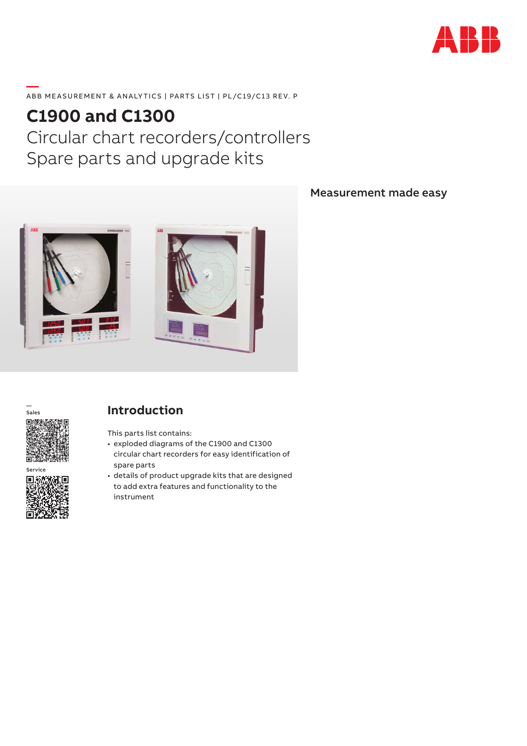

#### **—**  ABB MEASUREMENT & ANALYTICS | PARTS LIST | PL/C19/C13 REV. P

# **C1900 and C1300** Circular chart recorders/controllers Spare parts and upgrade kits



#### Measurement made easy



**Service** 回游

### **Introduction**

This parts list contains:

- exploded diagrams of the C1900 and C1300 circular chart recorders for easy identification of spare parts
- details of product upgrade kits that are designed to add extra features and functionality to the instrument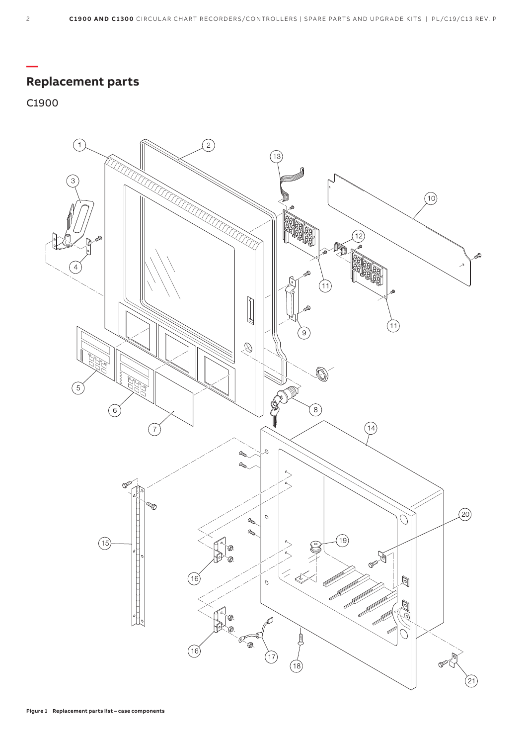# **Replacement parts**

#### C1900

**—**

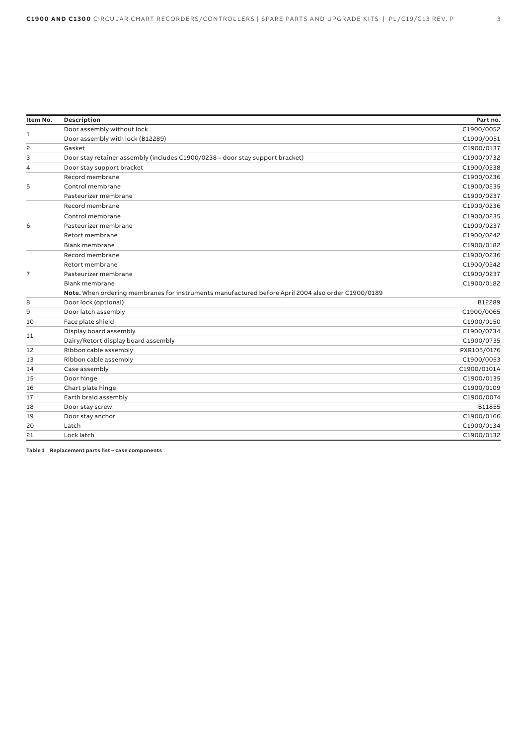| Item No.       | <b>Description</b>                                                                                 | Part no.    |
|----------------|----------------------------------------------------------------------------------------------------|-------------|
|                | Door assembly without lock                                                                         | C1900/0052  |
| 1              | Door assembly with lock (B12289)                                                                   | C1900/0051  |
| 2              | Gasket                                                                                             | C1900/0137  |
| 3              | Door stay retainer assembly (includes C1900/0238 - door stay support bracket)                      | C1900/0732  |
| 4              | Door stay support bracket                                                                          | C1900/0238  |
|                | Record membrane                                                                                    | C1900/0236  |
| 5              | Control membrane                                                                                   | C1900/0235  |
|                | Pasteurizer membrane                                                                               | C1900/0237  |
|                | Record membrane                                                                                    | C1900/0236  |
|                | Control membrane                                                                                   | C1900/0235  |
| 6              | Pasteurizer membrane                                                                               | C1900/0237  |
|                | Retort membrane                                                                                    | C1900/0242  |
|                | Blank membrane                                                                                     | C1900/0182  |
|                | Record membrane                                                                                    | C1900/0236  |
|                | Retort membrane                                                                                    | C1900/0242  |
| $\overline{7}$ | Pasteurizer membrane                                                                               | C1900/0237  |
|                | Blank membrane                                                                                     | C1900/0182  |
|                | Note. When ordering membranes for instruments manufactured before April 2004 also order C1900/0189 |             |
| 8              | Door lock (optional)                                                                               | B12289      |
| 9              | Door latch assembly                                                                                | C1900/0065  |
| 10             | Face plate shield                                                                                  | C1900/0150  |
| 11             | Display board assembly                                                                             | C1900/0734  |
|                | Dairy/Retort display board assembly                                                                | C1900/0735  |
| 12             | Ribbon cable assembly                                                                              | PXR105/0176 |
| 13             | Ribbon cable assembly                                                                              | C1900/0053  |
| 14             | Case assembly                                                                                      | C1900/0101A |
| 15             | Door hinge                                                                                         | C1900/0135  |
| 16             | Chart plate hinge                                                                                  | C1900/0109  |
| 17             | Earth braid assembly                                                                               | C1900/0074  |
| 18             | Door stay screw                                                                                    | B11855      |
| 19             | Door stay anchor                                                                                   | C1900/0166  |
| 20             | Latch                                                                                              | C1900/0134  |
| 21             | Lock latch                                                                                         | C1900/0132  |

**Table 1 Replacement parts list – case components**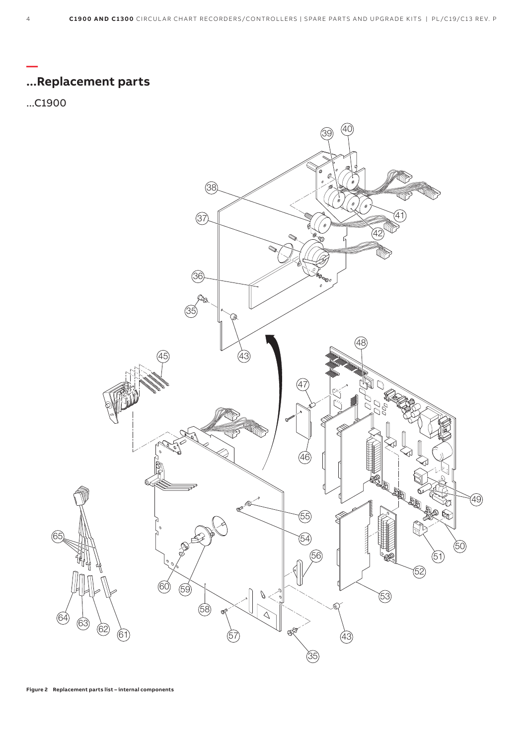

**—**

**...Replacement parts**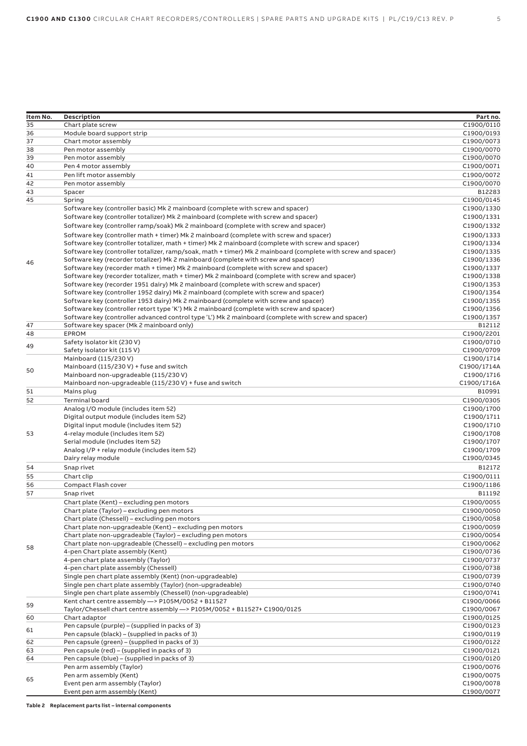| Item No. | Description                                                                                                  | Part no.                 |
|----------|--------------------------------------------------------------------------------------------------------------|--------------------------|
| 35       | Chart plate screw                                                                                            | C1900/0110               |
| 36       | Module board support strip                                                                                   | C1900/0193               |
| 37       | Chart motor assembly                                                                                         | C1900/0073               |
| 38       | Pen motor assembly                                                                                           | C1900/0070               |
| 39       | Pen motor assembly                                                                                           | C1900/0070               |
| 40       | Pen 4 motor assembly                                                                                         | C1900/0071               |
| 41       | Pen lift motor assembly                                                                                      | C1900/0072               |
| 42       | Pen motor assembly                                                                                           | C1900/0070               |
| 43       | Spacer                                                                                                       | B12283                   |
| 45       | Spring                                                                                                       | C1900/0145               |
|          | Software key (controller basic) Mk 2 mainboard (complete with screw and spacer)                              | C1900/1330               |
|          | Software key (controller totalizer) Mk 2 mainboard (complete with screw and spacer)                          | C1900/1331               |
|          | Software key (controller ramp/soak) Mk 2 mainboard (complete with screw and spacer)                          | C1900/1332               |
|          | Software key (controller math + timer) Mk 2 mainboard (complete with screw and spacer)                       | C1900/1333               |
|          | Software key (controller totalizer, math + timer) Mk 2 mainboard (complete with screw and spacer)            | C1900/1334               |
|          | Software key (controller totalizer, ramp/soak, math + timer) Mk 2 mainboard (complete with screw and spacer) | C1900/1335               |
| 46       | Software key (recorder totalizer) Mk 2 mainboard (complete with screw and spacer)                            | C1900/1336               |
|          | Software key (recorder math + timer) Mk 2 mainboard (complete with screw and spacer)                         | C1900/1337               |
|          | Software key (recorder totalizer, math + timer) Mk 2 mainboard (complete with screw and spacer)              | C1900/1338               |
|          | Software key (recorder 1951 dairy) Mk 2 mainboard (complete with screw and spacer)                           | C1900/1353               |
|          | Software key (controller 1952 dairy) Mk 2 mainboard (complete with screw and spacer)                         | C1900/1354               |
|          | Software key (controller 1953 dairy) Mk 2 mainboard (complete with screw and spacer)                         | C1900/1355               |
|          | Software key (controller retort type 'K') Mk 2 mainboard (complete with screw and spacer)                    | C1900/1356               |
|          | Software key (controller advanced control type 'L') Mk 2 mainboard (complete with screw and spacer)          | C1900/1357               |
| 47       | Software key spacer (Mk 2 mainboard only)                                                                    | B12112                   |
| 48       | <b>EPROM</b>                                                                                                 | C1900/2201               |
| 49       | Safety isolator kit (230 V)                                                                                  | C1900/0710               |
|          | Safety isolator kit (115 V)                                                                                  | C1900/0709               |
|          | Mainboard (115/230 V)                                                                                        | C1900/1714               |
| 50       | Mainboard (115/230 V) + fuse and switch                                                                      | C1900/1714A              |
|          | Mainboard non-upgradeable (115/230 V)                                                                        | C1900/1716               |
|          | Mainboard non-upgradeable (115/230 V) + fuse and switch                                                      | C1900/1716A              |
| 51       | Mains plug                                                                                                   | B10991                   |
| 52       | <b>Terminal board</b>                                                                                        | C1900/0305               |
|          | Analog I/O module (includes item 52)                                                                         | C1900/1700               |
|          | Digital output module (includes item 52)<br>Digital input module (includes item 52)                          | C1900/1711<br>C1900/1710 |
| 53       | 4-relay module (includes item 52)                                                                            | C1900/1708               |
|          | Serial module (includes item 52)                                                                             | C1900/1707               |
|          | Analog I/P + relay module (includes item 52)                                                                 | C1900/1709               |
|          | Dairy relay module                                                                                           | C1900/0345               |
| 54       | Snap rivet                                                                                                   | B12172                   |
| 55       | Chart clip                                                                                                   | C1900/0111               |
| 56       | Compact Flash cover                                                                                          | C1900/1186               |
| 57       | Snap rivet                                                                                                   | B11192                   |
|          | Chart plate (Kent) – excluding pen motors                                                                    | C1900/0055               |
|          | Chart plate (Taylor) - excluding pen motors                                                                  | C1900/0050               |
|          | Chart plate (Chessell) - excluding pen motors                                                                | C1900/0058               |
|          | Chart plate non-upgradeable (Kent) - excluding pen motors                                                    | C1900/0059               |
|          | Chart plate non-upgradeable (Taylor) - excluding pen motors                                                  | C1900/0054               |
|          | Chart plate non-upgradeable (Chessell) - excluding pen motors                                                | C1900/0062               |
| 58       | 4-pen Chart plate assembly (Kent)                                                                            | C1900/0736               |
|          | 4-pen chart plate assembly (Taylor)                                                                          | C1900/0737               |
|          | 4-pen chart plate assembly (Chessell)                                                                        | C1900/0738               |
|          | Single pen chart plate assembly (Kent) (non-upgradeable)                                                     | C1900/0739               |
|          | Single pen chart plate assembly (Taylor) (non-upgradeable)                                                   | C1900/0740               |
|          | Single pen chart plate assembly (Chessell) (non-upgradeable)                                                 | C1900/0741               |
| 59       | Kent chart centre assembly -> P105M/0052 + B11527                                                            | C1900/0066               |
|          | Taylor/Chessell chart centre assembly -> P105M/0052 + B11527+ C1900/0125                                     | C1900/0067               |
| 60       | Chart adaptor                                                                                                | C1900/0125               |
| 61       | Pen capsule (purple) - (supplied in packs of 3)                                                              | C1900/0123               |
|          | Pen capsule (black) – (supplied in packs of 3)                                                               | C1900/0119               |
| 62       | Pen capsule (green) - (supplied in packs of 3)                                                               | C1900/0122               |
| 63       | Pen capsule (red) - (supplied in packs of 3)                                                                 | C1900/0121               |
| 64       | Pen capsule (blue) - (supplied in packs of 3)                                                                | C1900/0120               |
|          | Pen arm assembly (Taylor)                                                                                    | C1900/0076               |
| 65       | Pen arm assembly (Kent)                                                                                      | C1900/0075               |
|          | Event pen arm assembly (Taylor)                                                                              | C1900/0078               |
|          | Event pen arm assembly (Kent)                                                                                | C1900/0077               |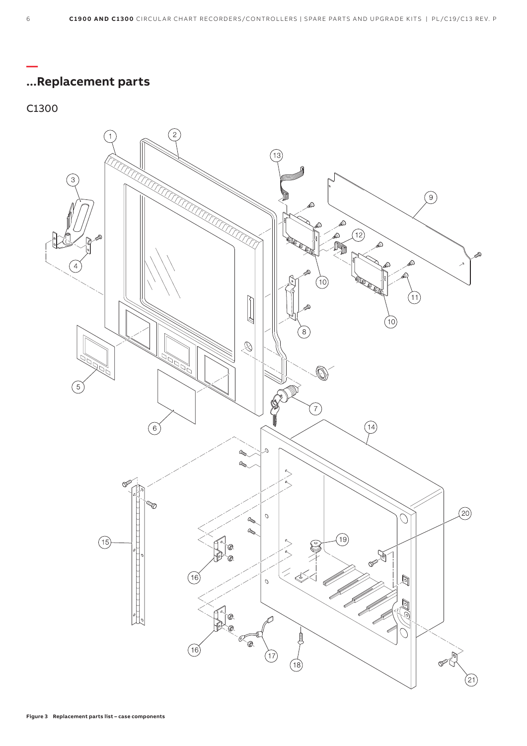## **...Replacement parts**

#### C1300

**—**

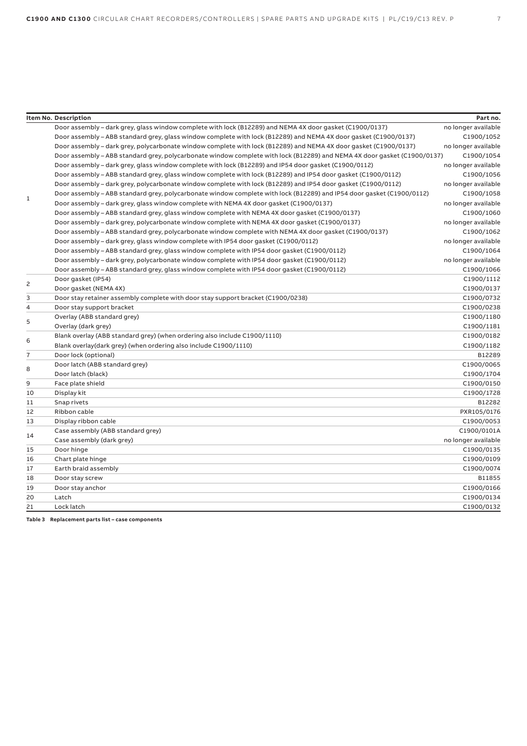|                | <b>Item No. Description</b>                                                                                              | Part no.            |
|----------------|--------------------------------------------------------------------------------------------------------------------------|---------------------|
|                | Door assembly - dark grey, glass window complete with lock (B12289) and NEMA 4X door gasket (C1900/0137)                 | no longer available |
|                | Door assembly – ABB standard grey, glass window complete with lock (B12289) and NEMA 4X door gasket (C1900/0137)         | C1900/1052          |
|                | Door assembly – dark grey, polycarbonate window complete with lock (B12289) and NEMA 4X door gasket (C1900/0137)         | no longer available |
|                | Door assembly - ABB standard grey, polycarbonate window complete with lock (B12289) and NEMA 4X door gasket (C1900/0137) | C1900/1054          |
| 1              | Door assembly - dark grey, glass window complete with lock (B12289) and IP54 door gasket (C1900/0112)                    | no longer available |
|                | Door assembly - ABB standard grey, glass window complete with lock (B12289) and IP54 door gasket (C1900/0112)            | C1900/1056          |
|                | Door assembly - dark grey, polycarbonate window complete with lock (B12289) and IP54 door gasket (C1900/0112)            | no longer available |
|                | Door assembly - ABB standard grey, polycarbonate window complete with lock (B12289) and IP54 door gasket (C1900/0112)    | C1900/1058          |
|                | Door assembly - dark grey, glass window complete with NEMA 4X door gasket (C1900/0137)                                   | no longer available |
|                | Door assembly - ABB standard grey, glass window complete with NEMA 4X door gasket (C1900/0137)                           | C1900/1060          |
|                | Door assembly - dark grey, polycarbonate window complete with NEMA 4X door gasket (C1900/0137)                           | no longer available |
|                | Door assembly - ABB standard grey, polycarbonate window complete with NEMA 4X door gasket (C1900/0137)                   | C1900/1062          |
|                | Door assembly - dark grey, glass window complete with IP54 door qasket (C1900/0112)                                      | no longer available |
|                | Door assembly - ABB standard grey, glass window complete with IP54 door gasket (C1900/0112)                              | C1900/1064          |
|                | Door assembly - dark grey, polycarbonate window complete with IP54 door gasket (C1900/0112)                              | no longer available |
|                | Door assembly - ABB standard grey, glass window complete with IP54 door gasket (C1900/0112)                              | C1900/1066          |
| 2              | Door gasket (IP54)                                                                                                       | C1900/1112          |
|                | Door gasket (NEMA 4X)                                                                                                    | C1900/0137          |
| 3              | Door stay retainer assembly complete with door stay support bracket (C1900/0238)                                         | C1900/0732          |
| 4              | Door stay support bracket                                                                                                | C1900/0238          |
| 5              | Overlay (ABB standard grey)                                                                                              | C1900/1180          |
|                | Overlay (dark grey)                                                                                                      | C1900/1181          |
| 6              | Blank overlay (ABB standard grey) (when ordering also include C1900/1110)                                                | C1900/0182          |
|                | Blank overlay (dark grey) (when ordering also include C1900/1110)                                                        | C1900/1182          |
| $\overline{7}$ | Door lock (optional)                                                                                                     | B12289              |
| 8              | Door latch (ABB standard grey)                                                                                           | C1900/0065          |
|                | Door latch (black)                                                                                                       | C1900/1704          |
| 9              | Face plate shield                                                                                                        | C1900/0150          |
| 10             | Display kit                                                                                                              | C1900/1728          |
| 11             | Snap rivets                                                                                                              | B12282              |
| 12             | Ribbon cable                                                                                                             | PXR105/0176         |
| 13             | Display ribbon cable                                                                                                     | C1900/0053          |
| 14             | Case assembly (ABB standard grey)                                                                                        | C1900/0101A         |
|                | Case assembly (dark grey)                                                                                                | no longer available |
| 15             | Door hinge                                                                                                               | C1900/0135          |
| 16             | Chart plate hinge                                                                                                        | C1900/0109          |
| 17             | Earth braid assembly                                                                                                     | C1900/0074          |
| 18             | Door stay screw                                                                                                          | B11855              |
| 19             | Door stay anchor                                                                                                         | C1900/0166          |
| 20             | Latch                                                                                                                    | C1900/0134          |
| 21             | Lock latch                                                                                                               | C1900/0132          |
|                | Table 3 Replacement parts list - case components                                                                         |                     |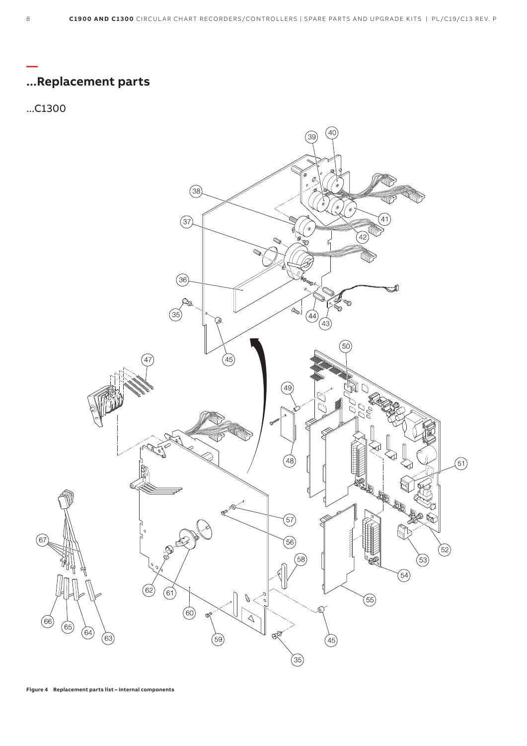

#### **— ...Replacement parts**

#### ...C1300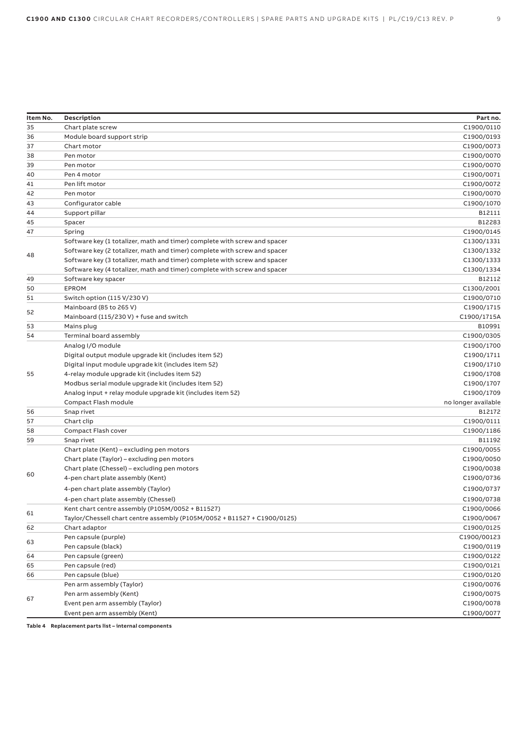| Item No. | Description                                                                              | Part no.            |
|----------|------------------------------------------------------------------------------------------|---------------------|
| 35       | Chart plate screw                                                                        | C1900/0110          |
| 36       | Module board support strip                                                               | C1900/0193          |
| 37       | Chart motor                                                                              | C1900/0073          |
| 38       | Pen motor                                                                                | C1900/0070          |
| 39       | Pen motor                                                                                | C1900/0070          |
| 40       | Pen 4 motor                                                                              | C1900/0071          |
| 41       | Pen lift motor                                                                           | C1900/0072          |
| 42       | Pen motor                                                                                | C1900/0070          |
| 43       | Configurator cable                                                                       | C1900/1070          |
| 44       | Support pillar                                                                           | B12111              |
| 45       | Spacer                                                                                   | B12283              |
| 47       | Spring                                                                                   | C1900/0145          |
|          | Software key (1 totalizer, math and timer) complete with screw and spacer                | C1300/1331          |
|          | Software key (2 totalizer, math and timer) complete with screw and spacer                | C1300/1332          |
| 48       | Software key (3 totalizer, math and timer) complete with screw and spacer                | C1300/1333          |
|          | Software key (4 totalizer, math and timer) complete with screw and spacer                | C1300/1334          |
| 49       | Software key spacer                                                                      | B12112              |
| 50       | <b>EPROM</b>                                                                             | C1300/2001          |
| 51       | Switch option (115 V/230 V)                                                              | C1900/0710          |
|          | Mainboard (85 to 265 V)                                                                  | C1900/1715          |
| 52       | Mainboard (115/230 V) + fuse and switch                                                  | C1900/1715A         |
| 53       | Mains plug                                                                               | B10991              |
| 54       | Terminal board assembly                                                                  | C1900/0305          |
|          | Analog I/O module                                                                        | C1900/1700          |
|          | Digital output module upgrade kit (includes item 52)                                     | C1900/1711          |
|          | Digital input module upgrade kit (includes item 52)                                      | C1900/1710          |
| 55       | 4-relay module upgrade kit (includes item 52)                                            | C1900/1708          |
|          | Modbus serial module upgrade kit (includes item 52)                                      | C1900/1707          |
|          | Analog input + relay module upgrade kit (includes item 52)                               | C1900/1709          |
|          | Compact Flash module                                                                     | no longer available |
| 56       | Snap rivet                                                                               | B12172              |
| 57       | Chart clip                                                                               | C1900/0111          |
| 58       | Compact Flash cover                                                                      | C1900/1186          |
| 59       | Snap rivet                                                                               | B11192              |
|          | Chart plate (Kent) – excluding pen motors                                                | C1900/0055          |
|          | Chart plate (Taylor) - excluding pen motors                                              | C1900/0050          |
|          | Chart plate (Chessel) - excluding pen motors                                             | C1900/0038          |
| 60       | 4-pen chart plate assembly (Kent)                                                        | C1900/0736          |
|          | 4-pen chart plate assembly (Taylor)                                                      | C1900/0737          |
|          |                                                                                          | C1900/0738          |
|          | 4-pen chart plate assembly (Chessel)<br>Kent chart centre assembly (P105M/0052 + B11527) | C1900/0066          |
| 61       | Taylor/Chessell chart centre assembly (P105M/0052 + B11527 + C1900/0125)                 | C1900/0067          |
| 62       | Chart adaptor                                                                            | C1900/0125          |
|          | Pen capsule (purple)                                                                     | C1900/00123         |
| 63       |                                                                                          |                     |
|          | Pen capsule (black)                                                                      | C1900/0119          |
| 64       | Pen capsule (green)                                                                      | C1900/0122          |
| 65       | Pen capsule (red)                                                                        | C1900/0121          |
| 66       | Pen capsule (blue)                                                                       | C1900/0120          |
|          | Pen arm assembly (Taylor)                                                                | C1900/0076          |
| 67       | Pen arm assembly (Kent)                                                                  | C1900/0075          |
|          | Event pen arm assembly (Taylor)                                                          | C1900/0078          |
|          | Event pen arm assembly (Kent)                                                            | C1900/0077          |

**Table 4 Replacement parts list – internal components**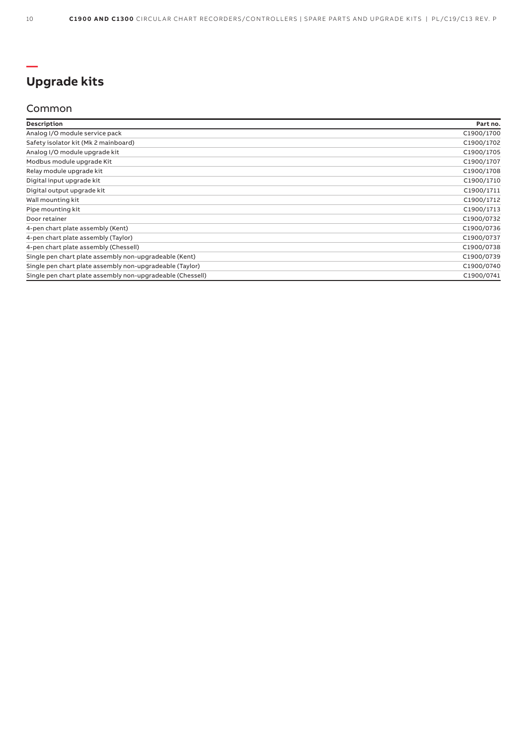#### **— Upgrade kits**

#### Common

| Description                                                | Part no.   |
|------------------------------------------------------------|------------|
| Analog I/O module service pack                             | C1900/1700 |
| Safety isolator kit (Mk 2 mainboard)                       | C1900/1702 |
| Analog I/O module upgrade kit                              | C1900/1705 |
| Modbus module upgrade Kit                                  | C1900/1707 |
| Relay module upgrade kit                                   | C1900/1708 |
| Digital input upgrade kit                                  | C1900/1710 |
| Digital output upgrade kit                                 | C1900/1711 |
| Wall mounting kit                                          | C1900/1712 |
| Pipe mounting kit                                          | C1900/1713 |
| Door retainer                                              | C1900/0732 |
| 4-pen chart plate assembly (Kent)                          | C1900/0736 |
| 4-pen chart plate assembly (Taylor)                        | C1900/0737 |
| 4-pen chart plate assembly (Chessell)                      | C1900/0738 |
| Single pen chart plate assembly non-upgradeable (Kent)     | C1900/0739 |
| Single pen chart plate assembly non-upgradeable (Taylor)   | C1900/0740 |
| Single pen chart plate assembly non-upgradeable (Chessell) | C1900/0741 |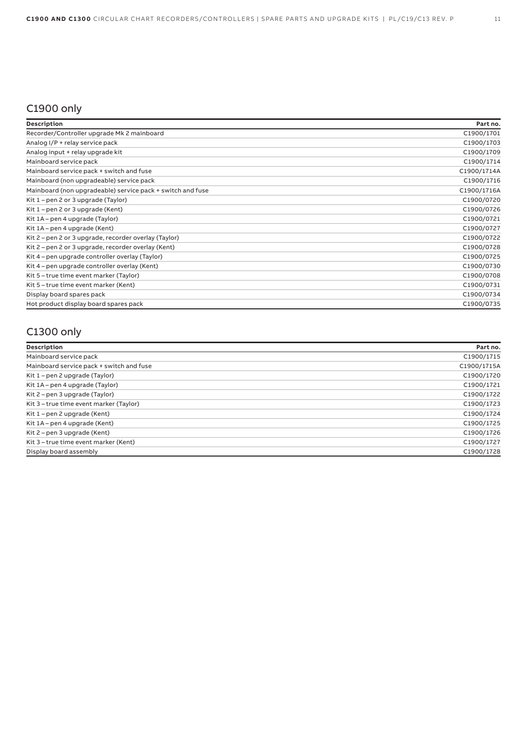## C1900 only

| Description                                                | Part no.    |
|------------------------------------------------------------|-------------|
| Recorder/Controller upgrade Mk 2 mainboard                 | C1900/1701  |
| Analog I/P + relay service pack                            | C1900/1703  |
| Analog input + relay upgrade kit                           | C1900/1709  |
| Mainboard service pack                                     | C1900/1714  |
| Mainboard service pack + switch and fuse                   | C1900/1714A |
| Mainboard (non upgradeable) service pack                   | C1900/1716  |
| Mainboard (non upgradeable) service pack + switch and fuse | C1900/1716A |
| Kit $1$ – pen 2 or 3 upgrade (Taylor)                      | C1900/0720  |
| Kit 1 – pen 2 or 3 upgrade (Kent)                          | C1900/0726  |
| Kit 1A – pen 4 upgrade (Taylor)                            | C1900/0721  |
| Kit 1A – pen 4 upgrade (Kent)                              | C1900/0727  |
| Kit 2 – pen 2 or 3 upgrade, recorder overlay (Taylor)      | C1900/0722  |
| Kit 2 – pen 2 or 3 upgrade, recorder overlay (Kent)        | C1900/0728  |
| Kit 4 – pen upgrade controller overlay (Taylor)            | C1900/0725  |
| Kit 4 – pen upgrade controller overlay (Kent)              | C1900/0730  |
| Kit 5 - true time event marker (Taylor)                    | C1900/0708  |
| Kit 5 – true time event marker (Kent)                      | C1900/0731  |
| Display board spares pack                                  | C1900/0734  |
| Hot product display board spares pack                      | C1900/0735  |

# C1300 only

| Description                              | Part no.    |
|------------------------------------------|-------------|
| Mainboard service pack                   | C1900/1715  |
| Mainboard service pack + switch and fuse | C1900/1715A |
| Kit 1 – pen 2 upgrade (Taylor)           | C1900/1720  |
| Kit 1A – pen 4 upgrade (Taylor)          | C1900/1721  |
| Kit 2 – pen 3 upgrade (Taylor)           | C1900/1722  |
| Kit 3 - true time event marker (Taylor)  | C1900/1723  |
| Kit 1 – pen 2 upgrade (Kent)             | C1900/1724  |
| Kit 1A – pen 4 upgrade (Kent)            | C1900/1725  |
| Kit 2 – pen 3 upgrade (Kent)             | C1900/1726  |
| Kit 3 - true time event marker (Kent)    | C1900/1727  |
| Display board assembly                   | C1900/1728  |